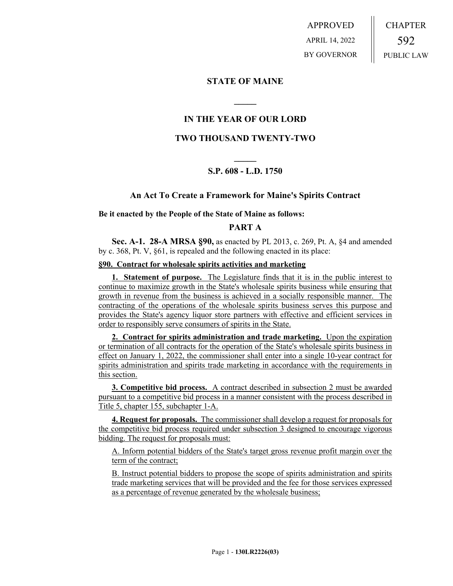APPROVED APRIL 14, 2022 BY GOVERNOR CHAPTER 592 PUBLIC LAW

# **STATE OF MAINE**

# **IN THE YEAR OF OUR LORD**

**\_\_\_\_\_**

## **TWO THOUSAND TWENTY-TWO**

# **\_\_\_\_\_ S.P. 608 - L.D. 1750**

### **An Act To Create a Framework for Maine's Spirits Contract**

#### **Be it enacted by the People of the State of Maine as follows:**

# **PART A**

**Sec. A-1. 28-A MRSA §90,** as enacted by PL 2013, c. 269, Pt. A, §4 and amended by c. 368, Pt. V, §61, is repealed and the following enacted in its place:

#### **§90. Contract for wholesale spirits activities and marketing**

**1. Statement of purpose.** The Legislature finds that it is in the public interest to continue to maximize growth in the State's wholesale spirits business while ensuring that growth in revenue from the business is achieved in a socially responsible manner. The contracting of the operations of the wholesale spirits business serves this purpose and provides the State's agency liquor store partners with effective and efficient services in order to responsibly serve consumers of spirits in the State.

**2. Contract for spirits administration and trade marketing.** Upon the expiration or termination of all contracts for the operation of the State's wholesale spirits business in effect on January 1, 2022, the commissioner shall enter into a single 10-year contract for spirits administration and spirits trade marketing in accordance with the requirements in this section.

**3. Competitive bid process.** A contract described in subsection 2 must be awarded pursuant to a competitive bid process in a manner consistent with the process described in Title 5, chapter 155, subchapter 1-A.

**4. Request for proposals.** The commissioner shall develop a request for proposals for the competitive bid process required under subsection 3 designed to encourage vigorous bidding. The request for proposals must:

A. Inform potential bidders of the State's target gross revenue profit margin over the term of the contract;

B. Instruct potential bidders to propose the scope of spirits administration and spirits trade marketing services that will be provided and the fee for those services expressed as a percentage of revenue generated by the wholesale business;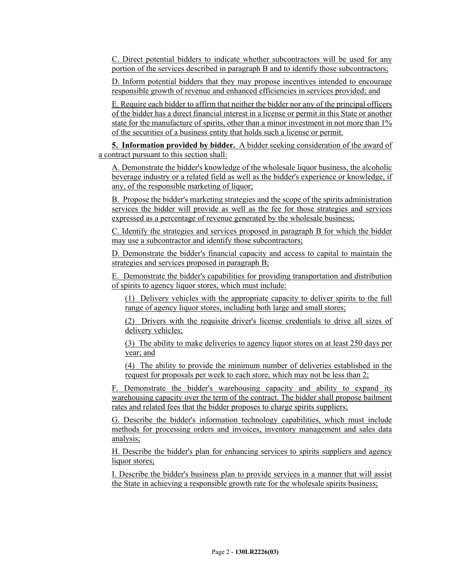C. Direct potential bidders to indicate whether subcontractors will be used for any portion of the services described in paragraph B and to identify those subcontractors;

D. Inform potential bidders that they may propose incentives intended to encourage responsible growth of revenue and enhanced efficiencies in services provided; and

E. Require each bidder to affirm that neither the bidder nor any of the principal officers of the bidder has a direct financial interest in a license or permit in this State or another state for the manufacture of spirits, other than a minor investment in not more than 1% of the securities of a business entity that holds such a license or permit.

**5. Information provided by bidder.** A bidder seeking consideration of the award of a contract pursuant to this section shall:

A. Demonstrate the bidder's knowledge of the wholesale liquor business, the alcoholic beverage industry or a related field as well as the bidder's experience or knowledge, if any, of the responsible marketing of liquor;

B. Propose the bidder's marketing strategies and the scope of the spirits administration services the bidder will provide as well as the fee for those strategies and services expressed as a percentage of revenue generated by the wholesale business;

C. Identify the strategies and services proposed in paragraph B for which the bidder may use a subcontractor and identify those subcontractors;

D. Demonstrate the bidder's financial capacity and access to capital to maintain the strategies and services proposed in paragraph B;

E. Demonstrate the bidder's capabilities for providing transportation and distribution of spirits to agency liquor stores, which must include:

(1) Delivery vehicles with the appropriate capacity to deliver spirits to the full range of agency liquor stores, including both large and small stores;

(2) Drivers with the requisite driver's license credentials to drive all sizes of delivery vehicles;

(3) The ability to make deliveries to agency liquor stores on at least 250 days per year; and

(4) The ability to provide the minimum number of deliveries established in the request for proposals per week to each store, which may not be less than 2;

F. Demonstrate the bidder's warehousing capacity and ability to expand its warehousing capacity over the term of the contract. The bidder shall propose bailment rates and related fees that the bidder proposes to charge spirits suppliers;

G. Describe the bidder's information technology capabilities, which must include methods for processing orders and invoices, inventory management and sales data analysis;

H. Describe the bidder's plan for enhancing services to spirits suppliers and agency liquor stores;

I. Describe the bidder's business plan to provide services in a manner that will assist the State in achieving a responsible growth rate for the wholesale spirits business;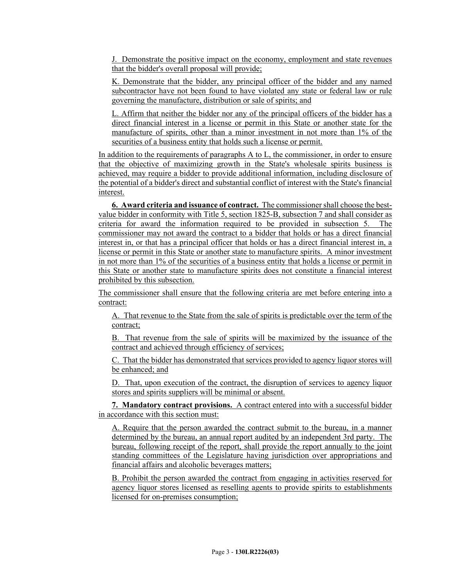J. Demonstrate the positive impact on the economy, employment and state revenues that the bidder's overall proposal will provide;

K. Demonstrate that the bidder, any principal officer of the bidder and any named subcontractor have not been found to have violated any state or federal law or rule governing the manufacture, distribution or sale of spirits; and

L. Affirm that neither the bidder nor any of the principal officers of the bidder has a direct financial interest in a license or permit in this State or another state for the manufacture of spirits, other than a minor investment in not more than 1% of the securities of a business entity that holds such a license or permit.

In addition to the requirements of paragraphs A to L, the commissioner, in order to ensure that the objective of maximizing growth in the State's wholesale spirits business is achieved, may require a bidder to provide additional information, including disclosure of the potential of a bidder's direct and substantial conflict of interest with the State's financial interest.

**6. Award criteria and issuance of contract.** The commissioner shall choose the bestvalue bidder in conformity with Title 5, section 1825-B, subsection 7 and shall consider as criteria for award the information required to be provided in subsection 5. The commissioner may not award the contract to a bidder that holds or has a direct financial interest in, or that has a principal officer that holds or has a direct financial interest in, a license or permit in this State or another state to manufacture spirits. A minor investment in not more than 1% of the securities of a business entity that holds a license or permit in this State or another state to manufacture spirits does not constitute a financial interest prohibited by this subsection.

The commissioner shall ensure that the following criteria are met before entering into a contract:

A. That revenue to the State from the sale of spirits is predictable over the term of the contract;

B. That revenue from the sale of spirits will be maximized by the issuance of the contract and achieved through efficiency of services;

C. That the bidder has demonstrated that services provided to agency liquor stores will be enhanced; and

D. That, upon execution of the contract, the disruption of services to agency liquor stores and spirits suppliers will be minimal or absent.

**7. Mandatory contract provisions.** A contract entered into with a successful bidder in accordance with this section must:

A. Require that the person awarded the contract submit to the bureau, in a manner determined by the bureau, an annual report audited by an independent 3rd party. The bureau, following receipt of the report, shall provide the report annually to the joint standing committees of the Legislature having jurisdiction over appropriations and financial affairs and alcoholic beverages matters;

B. Prohibit the person awarded the contract from engaging in activities reserved for agency liquor stores licensed as reselling agents to provide spirits to establishments licensed for on-premises consumption;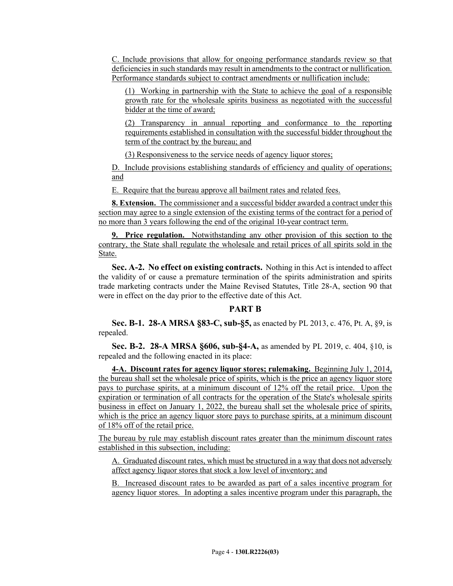C. Include provisions that allow for ongoing performance standards review so that deficiencies in such standards may result in amendments to the contract or nullification. Performance standards subject to contract amendments or nullification include:

(1) Working in partnership with the State to achieve the goal of a responsible growth rate for the wholesale spirits business as negotiated with the successful bidder at the time of award;

(2) Transparency in annual reporting and conformance to the reporting requirements established in consultation with the successful bidder throughout the term of the contract by the bureau; and

(3) Responsiveness to the service needs of agency liquor stores;

D. Include provisions establishing standards of efficiency and quality of operations; and

E. Require that the bureau approve all bailment rates and related fees.

**8. Extension.** The commissioner and a successful bidder awarded a contract under this section may agree to a single extension of the existing terms of the contract for a period of no more than 3 years following the end of the original 10-year contract term.

**9. Price regulation.** Notwithstanding any other provision of this section to the contrary, the State shall regulate the wholesale and retail prices of all spirits sold in the State.

**Sec. A-2. No effect on existing contracts.** Nothing in this Act is intended to affect the validity of or cause a premature termination of the spirits administration and spirits trade marketing contracts under the Maine Revised Statutes, Title 28-A, section 90 that were in effect on the day prior to the effective date of this Act.

## **PART B**

**Sec. B-1. 28-A MRSA §83-C, sub-§5,** as enacted by PL 2013, c. 476, Pt. A, §9, is repealed.

**Sec. B-2. 28-A MRSA §606, sub-§4-A,** as amended by PL 2019, c. 404, §10, is repealed and the following enacted in its place:

**4-A. Discount rates for agency liquor stores; rulemaking.** Beginning July 1, 2014, the bureau shall set the wholesale price of spirits, which is the price an agency liquor store pays to purchase spirits, at a minimum discount of 12% off the retail price. Upon the expiration or termination of all contracts for the operation of the State's wholesale spirits business in effect on January 1, 2022, the bureau shall set the wholesale price of spirits, which is the price an agency liquor store pays to purchase spirits, at a minimum discount of 18% off of the retail price.

The bureau by rule may establish discount rates greater than the minimum discount rates established in this subsection, including:

A. Graduated discount rates, which must be structured in a way that does not adversely affect agency liquor stores that stock a low level of inventory; and

B. Increased discount rates to be awarded as part of a sales incentive program for agency liquor stores. In adopting a sales incentive program under this paragraph, the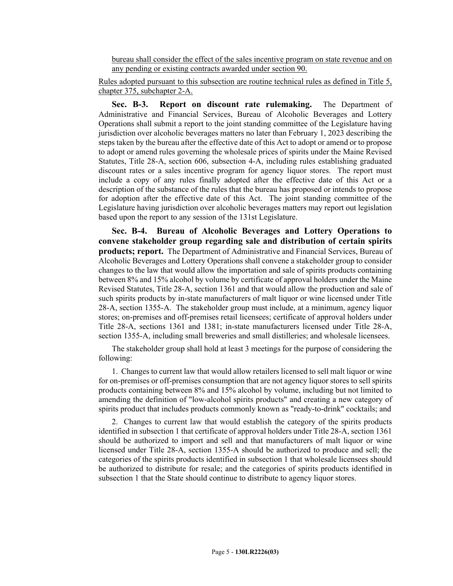bureau shall consider the effect of the sales incentive program on state revenue and on any pending or existing contracts awarded under section 90.

Rules adopted pursuant to this subsection are routine technical rules as defined in Title 5, chapter 375, subchapter 2-A.

**Sec. B-3. Report on discount rate rulemaking.** The Department of Administrative and Financial Services, Bureau of Alcoholic Beverages and Lottery Operations shall submit a report to the joint standing committee of the Legislature having jurisdiction over alcoholic beverages matters no later than February 1, 2023 describing the steps taken by the bureau after the effective date of this Act to adopt or amend or to propose to adopt or amend rules governing the wholesale prices of spirits under the Maine Revised Statutes, Title 28-A, section 606, subsection 4-A, including rules establishing graduated discount rates or a sales incentive program for agency liquor stores. The report must include a copy of any rules finally adopted after the effective date of this Act or a description of the substance of the rules that the bureau has proposed or intends to propose for adoption after the effective date of this Act. The joint standing committee of the Legislature having jurisdiction over alcoholic beverages matters may report out legislation based upon the report to any session of the 131st Legislature.

**Sec. B-4. Bureau of Alcoholic Beverages and Lottery Operations to convene stakeholder group regarding sale and distribution of certain spirits products; report.** The Department of Administrative and Financial Services, Bureau of Alcoholic Beverages and Lottery Operations shall convene a stakeholder group to consider changes to the law that would allow the importation and sale of spirits products containing between 8% and 15% alcohol by volume by certificate of approval holders under the Maine Revised Statutes, Title 28-A, section 1361 and that would allow the production and sale of such spirits products by in-state manufacturers of malt liquor or wine licensed under Title 28-A, section 1355-A. The stakeholder group must include, at a minimum, agency liquor stores; on-premises and off-premises retail licensees; certificate of approval holders under Title 28-A, sections 1361 and 1381; in-state manufacturers licensed under Title 28-A, section 1355-A, including small breweries and small distilleries; and wholesale licensees.

The stakeholder group shall hold at least 3 meetings for the purpose of considering the following:

1. Changes to current law that would allow retailers licensed to sell malt liquor or wine for on-premises or off-premises consumption that are not agency liquor stores to sell spirits products containing between 8% and 15% alcohol by volume, including but not limited to amending the definition of "low-alcohol spirits products" and creating a new category of spirits product that includes products commonly known as "ready-to-drink" cocktails; and

2. Changes to current law that would establish the category of the spirits products identified in subsection 1 that certificate of approval holders under Title 28-A, section 1361 should be authorized to import and sell and that manufacturers of malt liquor or wine licensed under Title 28-A, section 1355-A should be authorized to produce and sell; the categories of the spirits products identified in subsection 1 that wholesale licensees should be authorized to distribute for resale; and the categories of spirits products identified in subsection 1 that the State should continue to distribute to agency liquor stores.